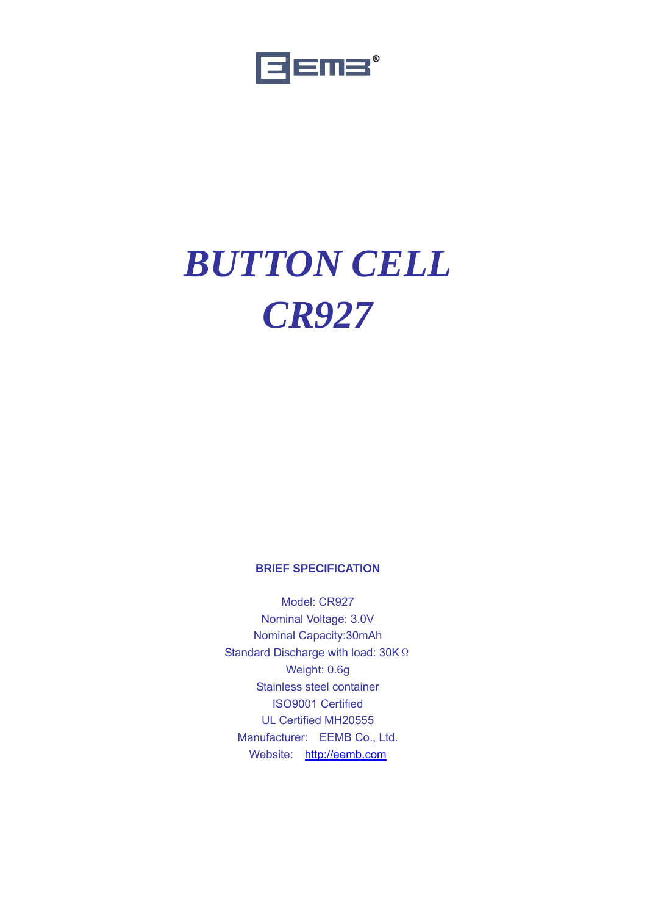

# *BUTTON CELL CR927*

#### **BRIEF SPECIFICATION**

Model: CR927 Nominal Voltage: 3.0V Nominal Capacity:30mAh Standard Discharge with load: 30K Ω Weight: 0.6g Stainless steel container ISO9001 Certified UL Certified MH20555 Manufacturer: EEMB Co., Ltd. Website: http://eemb.com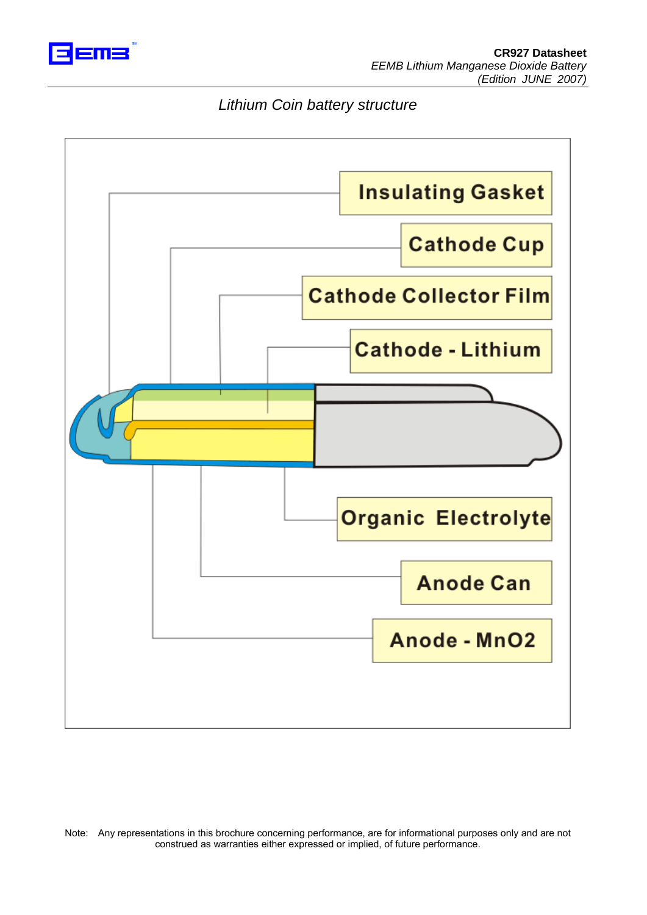

### *Lithium Coin battery structure*

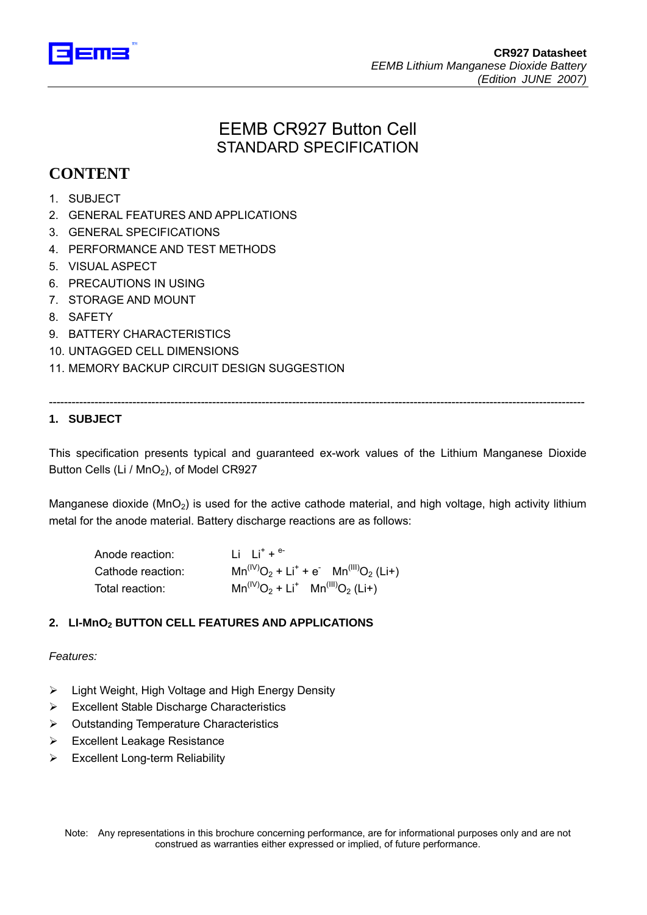

# EEMB CR927 Button Cell STANDARD SPECIFICATION

## **CONTENT**

- 1. SUBJECT
- 2. GENERAL FEATURES AND APPLICATIONS
- 3. GENERAL SPECIFICATIONS
- 4. PERFORMANCE AND TEST METHODS
- 5. VISUAL ASPECT
- 6. PRECAUTIONS IN USING
- 7. STORAGE AND MOUNT
- 8. SAFETY
- 9. BATTERY CHARACTERISTICS
- 10. UNTAGGED CELL DIMENSIONS
- 11. MEMORY BACKUP CIRCUIT DESIGN SUGGESTION

# ---------------------------------------------------------------------------------------------------------------------------------------------

**1. SUBJECT** 

This specification presents typical and guaranteed ex-work values of the Lithium Manganese Dioxide Button Cells (Li / MnO<sub>2</sub>), of Model CR927

Manganese dioxide (MnO<sub>2</sub>) is used for the active cathode material, and high voltage, high activity lithium metal for the anode material. Battery discharge reactions are as follows:

| Anode reaction:   | $1i + i^+ + e^-$                               |
|-------------------|------------------------------------------------|
| Cathode reaction: | $Mn^{(IV)}O_2 + Li^+ + e^ Mn^{(III)}O_2$ (Li+) |
| Total reaction:   | $Mn^{(IV)}O_2 + Li^+$ $Mn^{(III)}O_2$ (Li+)    |

#### **2. LI-MnO2 BUTTON CELL FEATURES AND APPLICATIONS**

#### *Features:*

- $\triangleright$  Light Weight, High Voltage and High Energy Density
- ¾ Excellent Stable Discharge Characteristics
- ¾ Outstanding Temperature Characteristics
- ¾ Excellent Leakage Resistance
- $\triangleright$  Excellent Long-term Reliability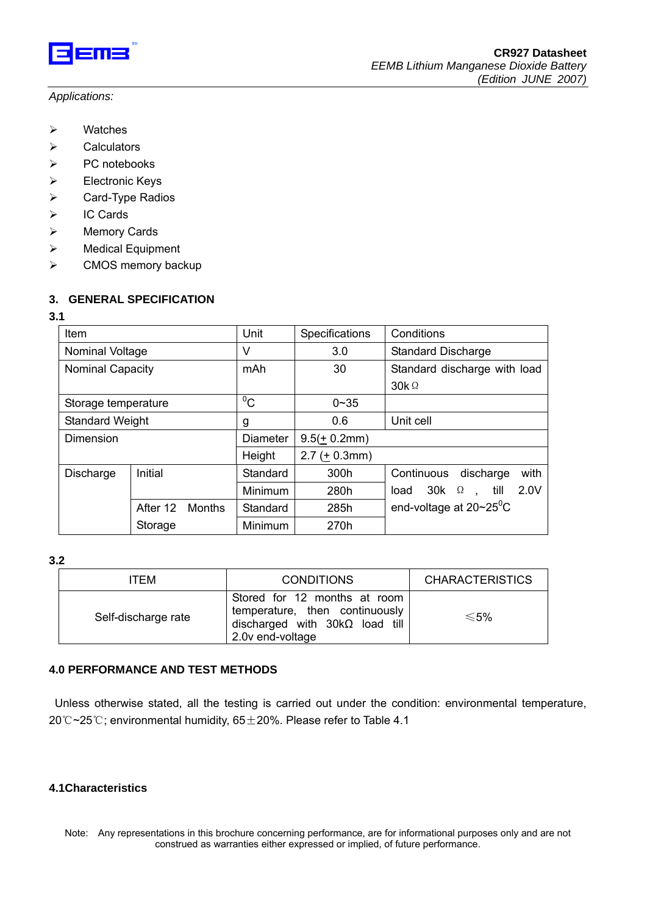

- ¾ Watches
- $\triangleright$  Calculators
- ¾ PC notebooks
- ¾ Electronic Keys
- ¾ Card-Type Radios
- ¾ IC Cards
- ¾ Memory Cards
- ¾ Medical Equipment
- ¾ CMOS memory backup

#### **3. GENERAL SPECIFICATION**

#### **3.1**

| Item                   |                           | Unit            | Specifications  | Conditions                                             |  |  |
|------------------------|---------------------------|-----------------|-----------------|--------------------------------------------------------|--|--|
| Nominal Voltage        |                           | V               | 3.0             | <b>Standard Discharge</b>                              |  |  |
| Nominal Capacity       |                           | mAh             | 30              | Standard discharge with load                           |  |  |
|                        |                           |                 |                 | $30k\Omega$                                            |  |  |
| Storage temperature    |                           | $^0C$           | $0 - 35$        |                                                        |  |  |
| <b>Standard Weight</b> |                           | g               | 0.6             | Unit cell                                              |  |  |
| Dimension              |                           | <b>Diameter</b> | $9.5(+ 0.2mm)$  |                                                        |  |  |
|                        |                           | Height          | $2.7 (+ 0.3mm)$ |                                                        |  |  |
| Discharge              | Initial                   | Standard        | 300h            | with<br>Continuous<br>discharge                        |  |  |
|                        |                           | Minimum         | 280h            | 2.0V<br>$30k$ $\Omega$<br>till<br>load<br>$\mathbf{r}$ |  |  |
|                        | After 12<br><b>Months</b> | Standard        | 285h            | end-voltage at $20 \sim 25$ <sup>o</sup> C             |  |  |
|                        | Storage                   | Minimum         | 270h            |                                                        |  |  |

#### **3.2**

| ITEM                | <b>CONDITIONS</b>                                                                                                           | <b>CHARACTERISTICS</b> |
|---------------------|-----------------------------------------------------------------------------------------------------------------------------|------------------------|
| Self-discharge rate | Stored for 12 months at room<br>temperature, then continuously<br>discharged with $30k\Omega$ load till<br>2.0v end-voltage | $\leq 5\%$             |

#### **4.0 PERFORMANCE AND TEST METHODS**

 Unless otherwise stated, all the testing is carried out under the condition: environmental temperature, 20 °C~25 °C; environmental humidity, 65 ± 20%. Please refer to Table 4.1

#### **4.1Characteristics**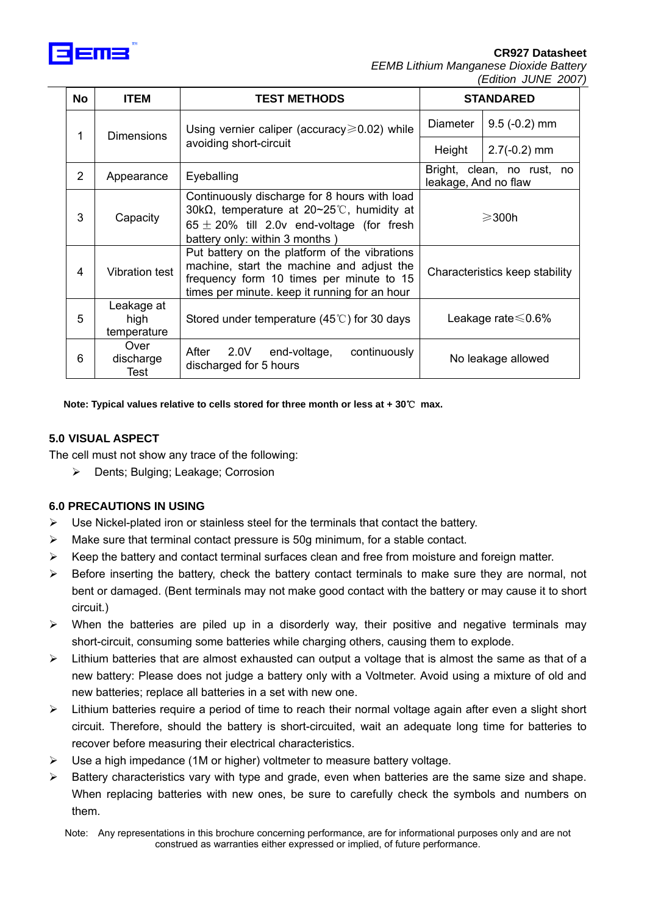

#### **CR927 Datasheet**

*EEMB Lithium Manganese Dioxide Battery (Edition JUNE 2007)*

| <b>No</b>              | <b>ITEM</b>                                         | <b>TEST METHODS</b>                                                                                                                                                                     | <b>STANDARED</b>                                   |                           |
|------------------------|-----------------------------------------------------|-----------------------------------------------------------------------------------------------------------------------------------------------------------------------------------------|----------------------------------------------------|---------------------------|
| 1<br><b>Dimensions</b> | Using vernier caliper (accuracy $\geq 0.02$ ) while | <b>Diameter</b>                                                                                                                                                                         | $9.5$ (-0.2) mm                                    |                           |
|                        | avoiding short-circuit                              | Height                                                                                                                                                                                  | $2.7(-0.2)$ mm                                     |                           |
| 2                      | Appearance                                          | Eyeballing                                                                                                                                                                              | Bright, clean, no rust, no<br>leakage, And no flaw |                           |
| 3                      | Capacity                                            | Continuously discharge for 8 hours with load<br>30k $\Omega$ , temperature at 20~25°C, humidity at<br>$65 \pm 20\%$ till 2.0v end-voltage (for fresh<br>battery only: within 3 months)  | $\geqslant$ 300h                                   |                           |
| 4                      | <b>Vibration test</b>                               | Put battery on the platform of the vibrations<br>machine, start the machine and adjust the<br>frequency form 10 times per minute to 15<br>times per minute. keep it running for an hour | Characteristics keep stability                     |                           |
| 5                      | Leakage at<br>high<br>temperature                   | Stored under temperature $(45^{\circ}$ C) for 30 days                                                                                                                                   |                                                    | Leakage rate $\leq 0.6\%$ |
| 6                      | Over<br>discharge<br>Test                           | After 2.0V end-voltage,<br>continuously<br>discharged for 5 hours                                                                                                                       |                                                    | No leakage allowed        |

**Note: Typical values relative to cells stored for three month or less at + 30**℃ **max.** 

#### **5.0 VISUAL ASPECT**

The cell must not show any trace of the following:

¾ Dents; Bulging; Leakage; Corrosion

#### **6.0 PRECAUTIONS IN USING**

- $\triangleright$  Use Nickel-plated iron or stainless steel for the terminals that contact the battery.
- $\triangleright$  Make sure that terminal contact pressure is 50g minimum, for a stable contact.
- $\triangleright$  Keep the battery and contact terminal surfaces clean and free from moisture and foreign matter.
- $\triangleright$  Before inserting the battery, check the battery contact terminals to make sure they are normal, not bent or damaged. (Bent terminals may not make good contact with the battery or may cause it to short circuit.)
- $\triangleright$  When the batteries are piled up in a disorderly way, their positive and negative terminals may short-circuit, consuming some batteries while charging others, causing them to explode.
- $\triangleright$  Lithium batteries that are almost exhausted can output a voltage that is almost the same as that of a new battery: Please does not judge a battery only with a Voltmeter. Avoid using a mixture of old and new batteries; replace all batteries in a set with new one.
- $\triangleright$  Lithium batteries require a period of time to reach their normal voltage again after even a slight short circuit. Therefore, should the battery is short-circuited, wait an adequate long time for batteries to recover before measuring their electrical characteristics.
- $\triangleright$  Use a high impedance (1M or higher) voltmeter to measure battery voltage.
- $\triangleright$  Battery characteristics vary with type and grade, even when batteries are the same size and shape. When replacing batteries with new ones, be sure to carefully check the symbols and numbers on them.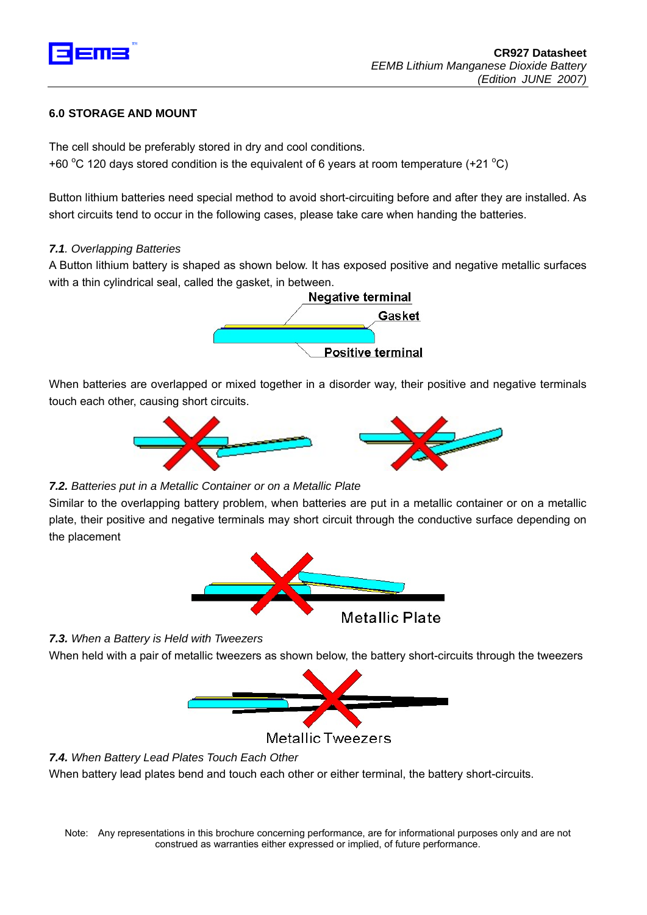

#### **6.0 STORAGE AND MOUNT**

The cell should be preferably stored in dry and cool conditions. +60 °C 120 days stored condition is the equivalent of 6 years at room temperature (+21 °C)

Button lithium batteries need special method to avoid short-circuiting before and after they are installed. As short circuits tend to occur in the following cases, please take care when handing the batteries.

#### *7.1. Overlapping Batteries*

A Button lithium battery is shaped as shown below. It has exposed positive and negative metallic surfaces with a thin cylindrical seal, called the gasket, in between.



When batteries are overlapped or mixed together in a disorder way, their positive and negative terminals touch each other, causing short circuits.



#### *7.2. Batteries put in a Metallic Container or on a Metallic Plate*

Similar to the overlapping battery problem, when batteries are put in a metallic container or on a metallic plate, their positive and negative terminals may short circuit through the conductive surface depending on the placement



*7.3. When a Battery is Held with Tweezers*

When held with a pair of metallic tweezers as shown below, the battery short-circuits through the tweezers



Metallic Tweezers

*7.4. When Battery Lead Plates Touch Each Other*

When battery lead plates bend and touch each other or either terminal, the battery short-circuits.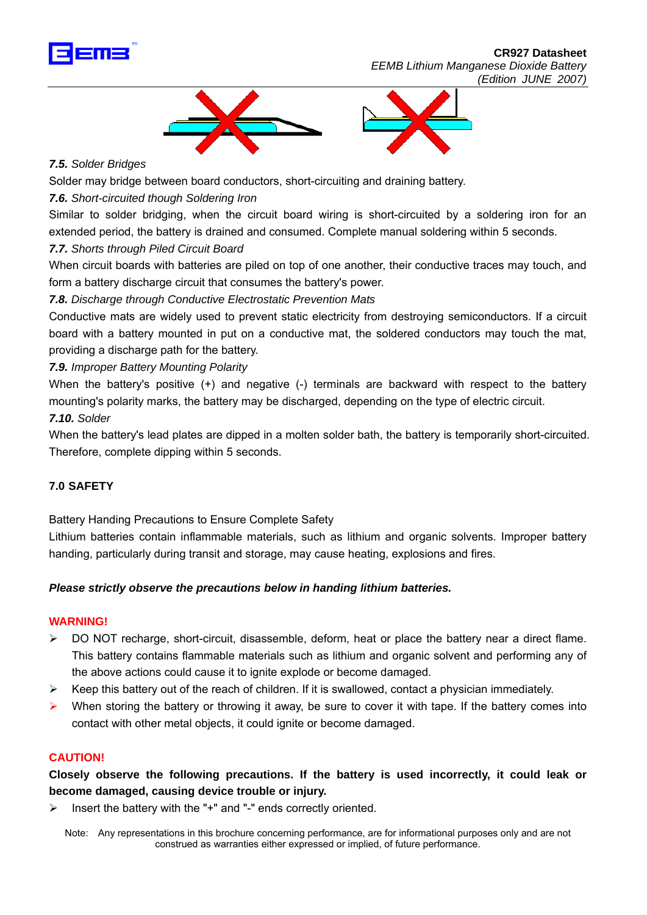

 **CR927 Datasheet**  *EEMB Lithium Manganese Dioxide Battery (Edition JUNE 2007)*



#### *7.5. Solder Bridges*

Solder may bridge between board conductors, short-circuiting and draining battery.

#### *7.6. Short-circuited though Soldering Iron*

Similar to solder bridging, when the circuit board wiring is short-circuited by a soldering iron for an extended period, the battery is drained and consumed. Complete manual soldering within 5 seconds.

#### *7.7. Shorts through Piled Circuit Board*

When circuit boards with batteries are piled on top of one another, their conductive traces may touch, and form a battery discharge circuit that consumes the battery's power.

#### *7.8. Discharge through Conductive Electrostatic Prevention Mats*

Conductive mats are widely used to prevent static electricity from destroying semiconductors. If a circuit board with a battery mounted in put on a conductive mat, the soldered conductors may touch the mat, providing a discharge path for the battery.

#### *7.9. Improper Battery Mounting Polarity*

When the battery's positive (+) and negative (-) terminals are backward with respect to the battery mounting's polarity marks, the battery may be discharged, depending on the type of electric circuit. *7.10. Solder*

When the battery's lead plates are dipped in a molten solder bath, the battery is temporarily short-circuited. Therefore, complete dipping within 5 seconds.

#### **7.0 SAFETY**

Battery Handing Precautions to Ensure Complete Safety

Lithium batteries contain inflammable materials, such as lithium and organic solvents. Improper battery handing, particularly during transit and storage, may cause heating, explosions and fires.

#### *Please strictly observe the precautions below in handing lithium batteries.*

#### **WARNING!**

- $\triangleright$  DO NOT recharge, short-circuit, disassemble, deform, heat or place the battery near a direct flame. This battery contains flammable materials such as lithium and organic solvent and performing any of the above actions could cause it to ignite explode or become damaged.
- ¾ Keep this battery out of the reach of children. If it is swallowed, contact a physician immediately.
- When storing the battery or throwing it away, be sure to cover it with tape. If the battery comes into contact with other metal objects, it could ignite or become damaged.

#### **CAUTION!**

**Closely observe the following precautions. If the battery is used incorrectly, it could leak or become damaged, causing device trouble or injury.** 

Insert the battery with the "+" and "-" ends correctly oriented.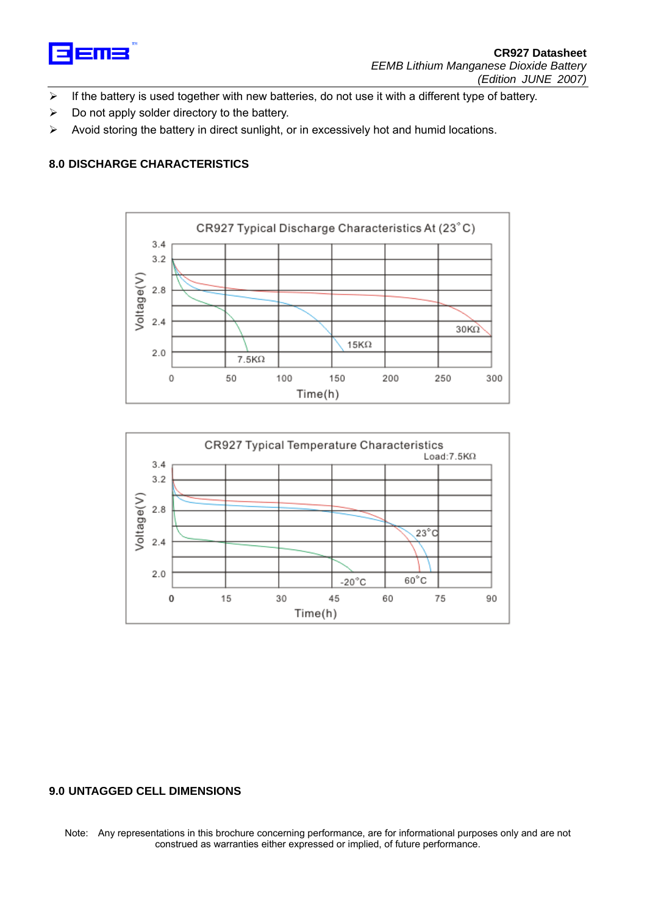

- ¾ If the battery is used together with new batteries, do not use it with a different type of battery.
- $\triangleright$  Do not apply solder directory to the battery.
- $\triangleright$  Avoid storing the battery in direct sunlight, or in excessively hot and humid locations.

#### **8.0 DISCHARGE CHARACTERISTICS**





#### **9.0 UNTAGGED CELL DIMENSIONS**